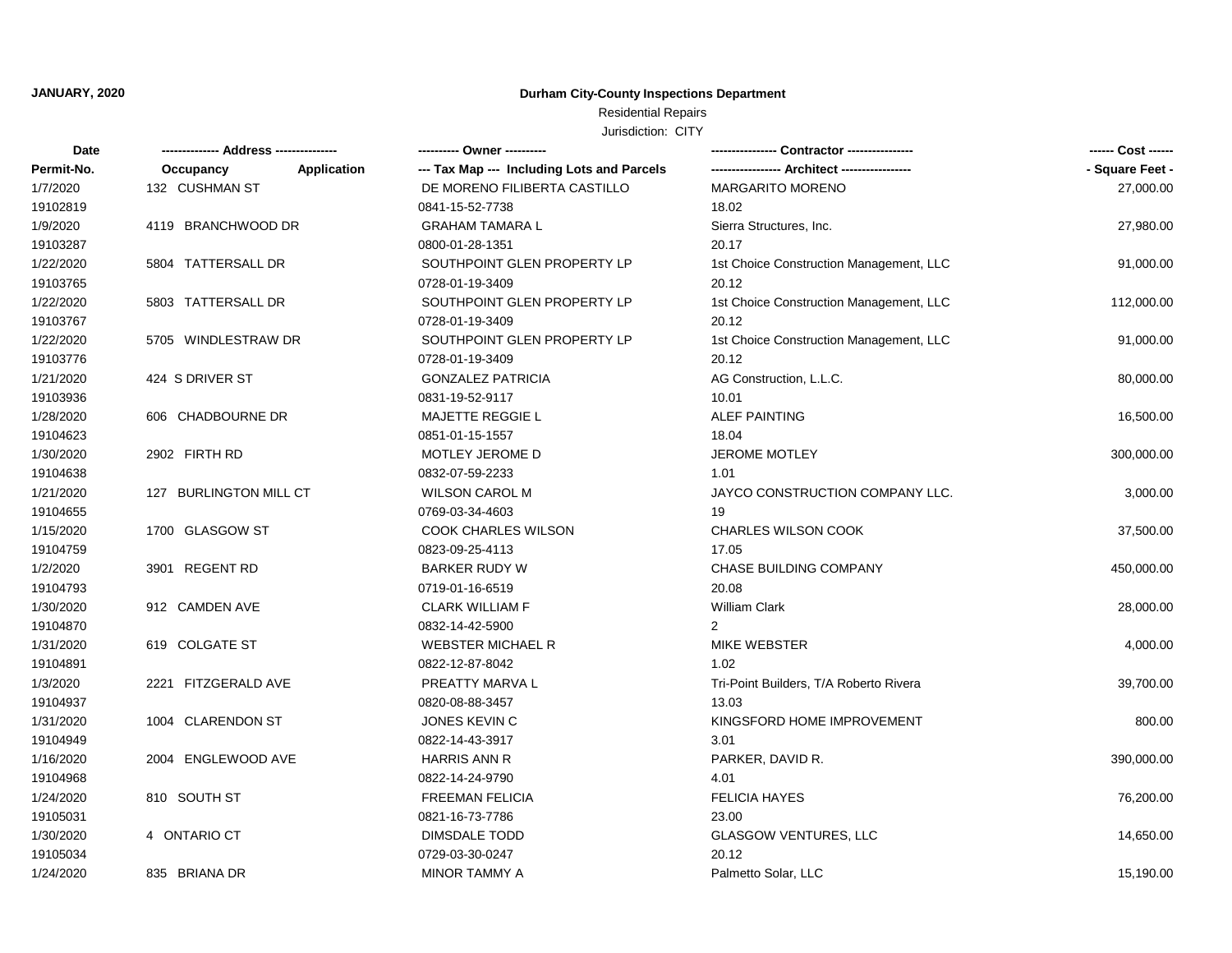## **JANUARY, 2020**

## **Durham City-County Inspections Department**

# Residential Repairs

| Date       | ------------- Address -------------- |             | ---------- Owner ----------                |                                         | ------ Cost ------ |
|------------|--------------------------------------|-------------|--------------------------------------------|-----------------------------------------|--------------------|
| Permit-No. | Occupancy                            | Application | --- Tax Map --- Including Lots and Parcels |                                         | - Square Feet -    |
| 1/7/2020   | 132 CUSHMAN ST                       |             | DE MORENO FILIBERTA CASTILLO               | <b>MARGARITO MORENO</b>                 | 27,000.00          |
| 19102819   |                                      |             | 0841-15-52-7738                            | 18.02                                   |                    |
| 1/9/2020   | 4119 BRANCHWOOD DR                   |             | <b>GRAHAM TAMARA L</b>                     | Sierra Structures, Inc.                 | 27,980.00          |
| 19103287   |                                      |             | 0800-01-28-1351                            | 20.17                                   |                    |
| 1/22/2020  | 5804 TATTERSALL DR                   |             | SOUTHPOINT GLEN PROPERTY LP                | 1st Choice Construction Management, LLC | 91,000.00          |
| 19103765   |                                      |             | 0728-01-19-3409                            | 20.12                                   |                    |
| 1/22/2020  | 5803 TATTERSALL DR                   |             | SOUTHPOINT GLEN PROPERTY LP                | 1st Choice Construction Management, LLC | 112,000.00         |
| 19103767   |                                      |             | 0728-01-19-3409                            | 20.12                                   |                    |
| 1/22/2020  | 5705 WINDLESTRAW DR                  |             | SOUTHPOINT GLEN PROPERTY LP                | 1st Choice Construction Management, LLC | 91,000.00          |
| 19103776   |                                      |             | 0728-01-19-3409                            | 20.12                                   |                    |
| 1/21/2020  | 424 S DRIVER ST                      |             | <b>GONZALEZ PATRICIA</b>                   | AG Construction, L.L.C.                 | 80,000.00          |
| 19103936   |                                      |             | 0831-19-52-9117                            | 10.01                                   |                    |
| 1/28/2020  | 606 CHADBOURNE DR                    |             | MAJETTE REGGIE L                           | <b>ALEF PAINTING</b>                    | 16,500.00          |
| 19104623   |                                      |             | 0851-01-15-1557                            | 18.04                                   |                    |
| 1/30/2020  | 2902 FIRTH RD                        |             | MOTLEY JEROME D                            | <b>JEROME MOTLEY</b>                    | 300,000.00         |
| 19104638   |                                      |             | 0832-07-59-2233                            | 1.01                                    |                    |
| 1/21/2020  | 127 BURLINGTON MILL CT               |             | <b>WILSON CAROL M</b>                      | JAYCO CONSTRUCTION COMPANY LLC.         | 3,000.00           |
| 19104655   |                                      |             | 0769-03-34-4603                            | 19                                      |                    |
| 1/15/2020  | 1700 GLASGOW ST                      |             | COOK CHARLES WILSON                        | <b>CHARLES WILSON COOK</b>              | 37,500.00          |
| 19104759   |                                      |             | 0823-09-25-4113                            | 17.05                                   |                    |
| 1/2/2020   | 3901 REGENT RD                       |             | <b>BARKER RUDY W</b>                       | CHASE BUILDING COMPANY                  | 450,000.00         |
| 19104793   |                                      |             | 0719-01-16-6519                            | 20.08                                   |                    |
| 1/30/2020  | 912 CAMDEN AVE                       |             | <b>CLARK WILLIAM F</b>                     | William Clark                           | 28,000.00          |
| 19104870   |                                      |             | 0832-14-42-5900                            | 2                                       |                    |
| 1/31/2020  | 619 COLGATE ST                       |             | <b>WEBSTER MICHAEL R</b>                   | MIKE WEBSTER                            | 4,000.00           |
| 19104891   |                                      |             | 0822-12-87-8042                            | 1.02                                    |                    |
| 1/3/2020   | 2221 FITZGERALD AVE                  |             | PREATTY MARVA L                            | Tri-Point Builders, T/A Roberto Rivera  | 39,700.00          |
| 19104937   |                                      |             | 0820-08-88-3457                            | 13.03                                   |                    |
| 1/31/2020  | 1004 CLARENDON ST                    |             | JONES KEVIN C                              | KINGSFORD HOME IMPROVEMENT              | 800.00             |
| 19104949   |                                      |             | 0822-14-43-3917                            | 3.01                                    |                    |
| 1/16/2020  | 2004 ENGLEWOOD AVE                   |             | <b>HARRIS ANN R</b>                        | PARKER, DAVID R.                        | 390,000.00         |
| 19104968   |                                      |             | 0822-14-24-9790                            | 4.01                                    |                    |
| 1/24/2020  | 810 SOUTH ST                         |             | <b>FREEMAN FELICIA</b>                     | <b>FELICIA HAYES</b>                    | 76,200.00          |
| 19105031   |                                      |             | 0821-16-73-7786                            | 23.00                                   |                    |
| 1/30/2020  | 4 ONTARIO CT                         |             | DIMSDALE TODD                              | <b>GLASGOW VENTURES, LLC</b>            | 14,650.00          |
| 19105034   |                                      |             | 0729-03-30-0247                            | 20.12                                   |                    |
| 1/24/2020  | 835 BRIANA DR                        |             | <b>MINOR TAMMY A</b>                       | Palmetto Solar, LLC                     | 15,190.00          |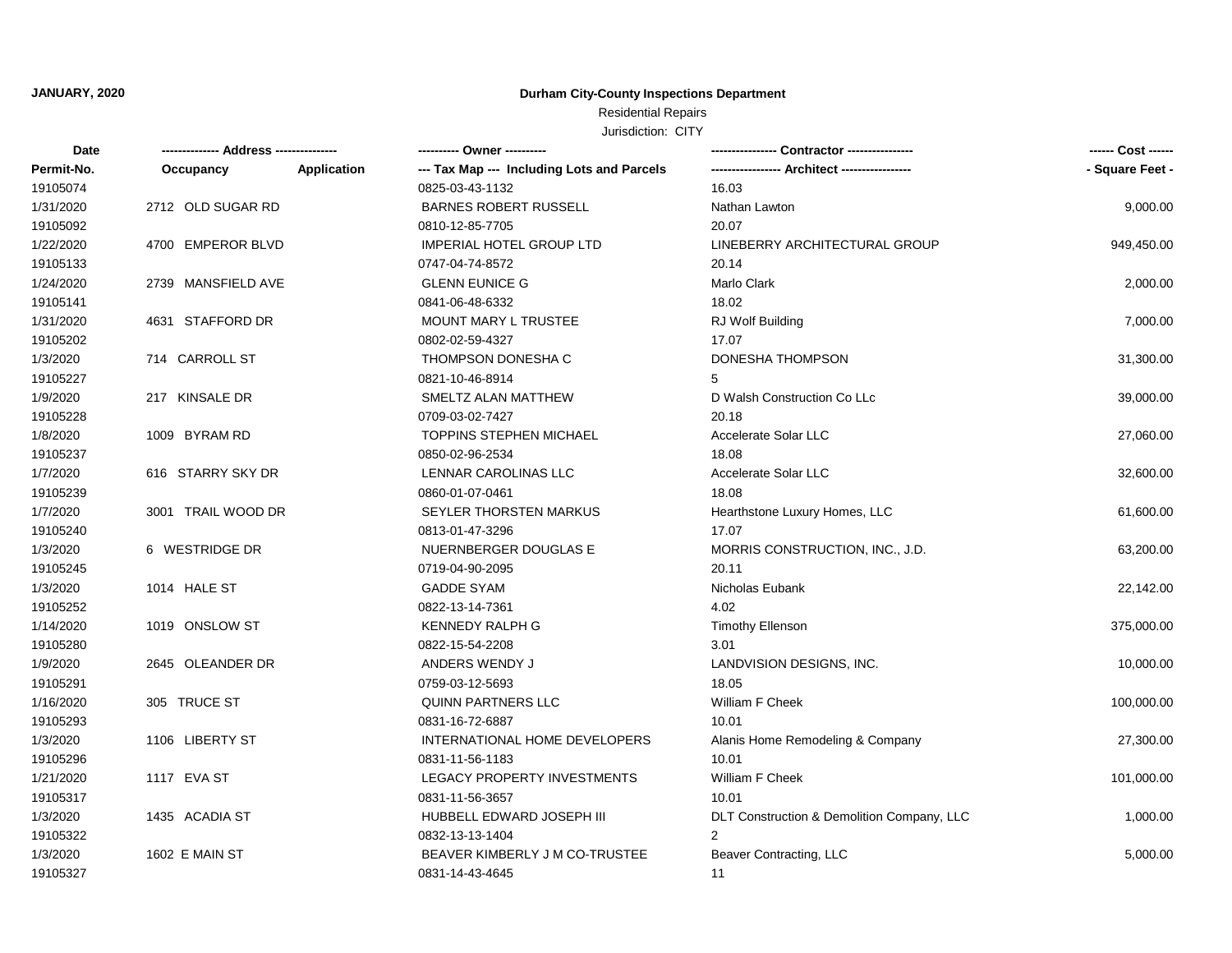## Residential Repairs

| Date       | ------------- Address -------------- |             | ---------- Owner ----------                | - Contractor ----------------              |                 |
|------------|--------------------------------------|-------------|--------------------------------------------|--------------------------------------------|-----------------|
| Permit-No. | Occupancy                            | Application | --- Tax Map --- Including Lots and Parcels |                                            | - Square Feet - |
| 19105074   |                                      |             | 0825-03-43-1132                            | 16.03                                      |                 |
| 1/31/2020  | 2712 OLD SUGAR RD                    |             | <b>BARNES ROBERT RUSSELL</b>               | Nathan Lawton                              | 9,000.00        |
| 19105092   |                                      |             | 0810-12-85-7705                            | 20.07                                      |                 |
| 1/22/2020  | 4700 EMPEROR BLVD                    |             | <b>IMPERIAL HOTEL GROUP LTD</b>            | LINEBERRY ARCHITECTURAL GROUP              | 949,450.00      |
| 19105133   |                                      |             | 0747-04-74-8572                            | 20.14                                      |                 |
| 1/24/2020  | 2739 MANSFIELD AVE                   |             | <b>GLENN EUNICE G</b>                      | Marlo Clark                                | 2,000.00        |
| 19105141   |                                      |             | 0841-06-48-6332                            | 18.02                                      |                 |
| 1/31/2020  | 4631 STAFFORD DR                     |             | MOUNT MARY L TRUSTEE                       | RJ Wolf Building                           | 7,000.00        |
| 19105202   |                                      |             | 0802-02-59-4327                            | 17.07                                      |                 |
| 1/3/2020   | 714 CARROLL ST                       |             | THOMPSON DONESHA C                         | DONESHA THOMPSON                           | 31,300.00       |
| 19105227   |                                      |             | 0821-10-46-8914                            | 5                                          |                 |
| 1/9/2020   | 217 KINSALE DR                       |             | SMELTZ ALAN MATTHEW                        | D Walsh Construction Co LLc                | 39,000.00       |
| 19105228   |                                      |             | 0709-03-02-7427                            | 20.18                                      |                 |
| 1/8/2020   | 1009 BYRAM RD                        |             | <b>TOPPINS STEPHEN MICHAEL</b>             | Accelerate Solar LLC                       | 27,060.00       |
| 19105237   |                                      |             | 0850-02-96-2534                            | 18.08                                      |                 |
| 1/7/2020   | 616 STARRY SKY DR                    |             | LENNAR CAROLINAS LLC                       | Accelerate Solar LLC                       | 32,600.00       |
| 19105239   |                                      |             | 0860-01-07-0461                            | 18.08                                      |                 |
| 1/7/2020   | 3001 TRAIL WOOD DR                   |             | SEYLER THORSTEN MARKUS                     | Hearthstone Luxury Homes, LLC              | 61,600.00       |
| 19105240   |                                      |             | 0813-01-47-3296                            | 17.07                                      |                 |
| 1/3/2020   | 6 WESTRIDGE DR                       |             | NUERNBERGER DOUGLAS E                      | MORRIS CONSTRUCTION, INC., J.D.            | 63,200.00       |
| 19105245   |                                      |             | 0719-04-90-2095                            | 20.11                                      |                 |
| 1/3/2020   | 1014 HALE ST                         |             | <b>GADDE SYAM</b>                          | Nicholas Eubank                            | 22,142.00       |
| 19105252   |                                      |             | 0822-13-14-7361                            | 4.02                                       |                 |
| 1/14/2020  | 1019 ONSLOW ST                       |             | <b>KENNEDY RALPH G</b>                     | <b>Timothy Ellenson</b>                    | 375,000.00      |
| 19105280   |                                      |             | 0822-15-54-2208                            | 3.01                                       |                 |
| 1/9/2020   | 2645 OLEANDER DR                     |             | ANDERS WENDY J                             | LANDVISION DESIGNS, INC.                   | 10,000.00       |
| 19105291   |                                      |             | 0759-03-12-5693                            | 18.05                                      |                 |
| 1/16/2020  | 305 TRUCE ST                         |             | QUINN PARTNERS LLC                         | William F Cheek                            | 100,000.00      |
| 19105293   |                                      |             | 0831-16-72-6887                            | 10.01                                      |                 |
| 1/3/2020   | 1106 LIBERTY ST                      |             | INTERNATIONAL HOME DEVELOPERS              | Alanis Home Remodeling & Company           | 27,300.00       |
| 19105296   |                                      |             | 0831-11-56-1183                            | 10.01                                      |                 |
| 1/21/2020  | 1117 EVA ST                          |             | LEGACY PROPERTY INVESTMENTS                | <b>William F Cheek</b>                     | 101,000.00      |
| 19105317   |                                      |             | 0831-11-56-3657                            | 10.01                                      |                 |
| 1/3/2020   | 1435 ACADIA ST                       |             | HUBBELL EDWARD JOSEPH III                  | DLT Construction & Demolition Company, LLC | 1,000.00        |
| 19105322   |                                      |             | 0832-13-13-1404                            | 2                                          |                 |
| 1/3/2020   | 1602 E MAIN ST                       |             | BEAVER KIMBERLY J M CO-TRUSTEE             | Beaver Contracting, LLC                    | 5,000.00        |
| 19105327   |                                      |             | 0831-14-43-4645                            | 11                                         |                 |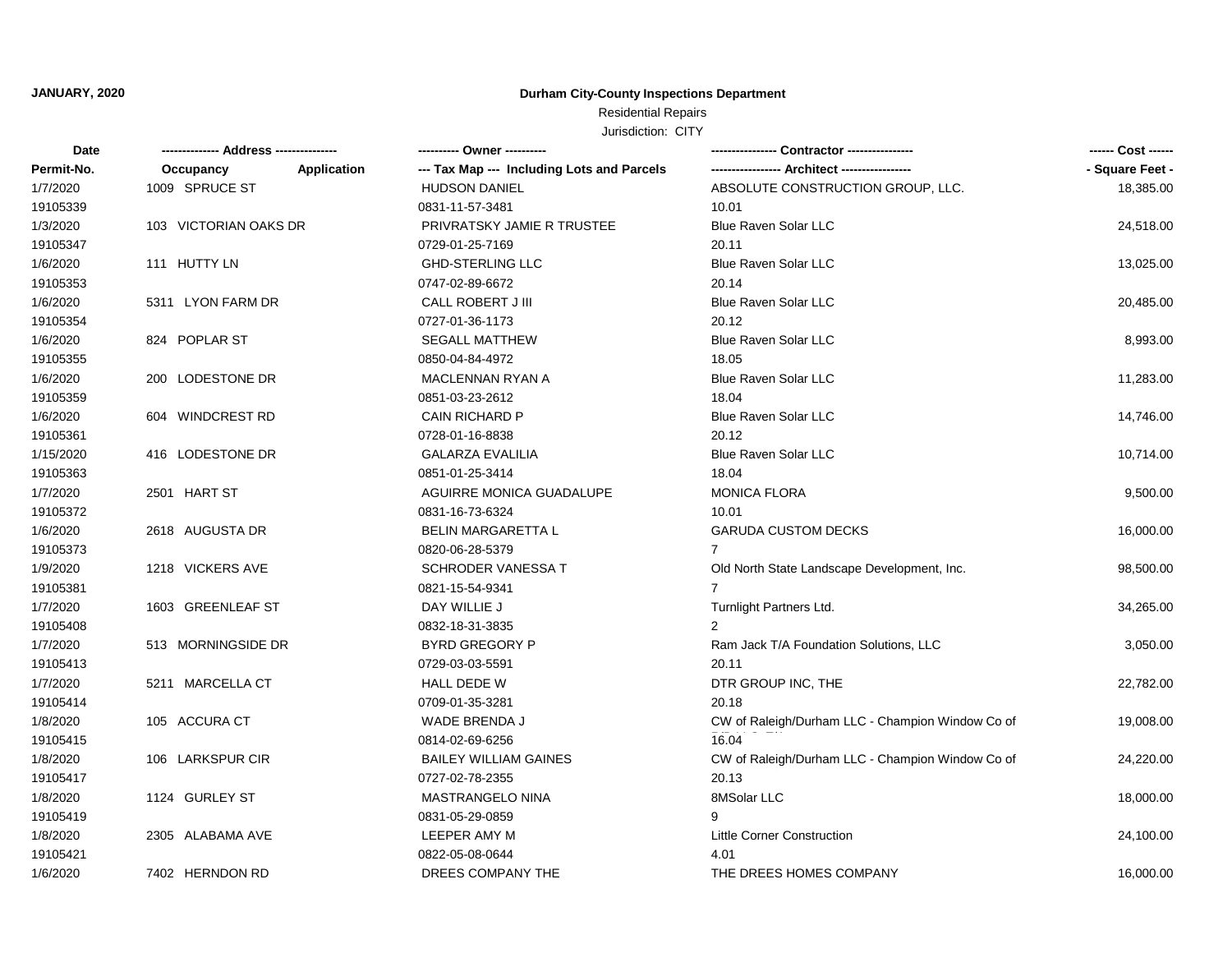# Residential Repairs

| Date       |                       |             | ---------- Owner ----------                | - Contractor ----------------                    |                 |
|------------|-----------------------|-------------|--------------------------------------------|--------------------------------------------------|-----------------|
| Permit-No. | Occupancy             | Application | --- Tax Map --- Including Lots and Parcels |                                                  | - Square Feet - |
| 1/7/2020   | 1009 SPRUCE ST        |             | <b>HUDSON DANIEL</b>                       | ABSOLUTE CONSTRUCTION GROUP, LLC.                | 18,385.00       |
| 19105339   |                       |             | 0831-11-57-3481                            | 10.01                                            |                 |
| 1/3/2020   | 103 VICTORIAN OAKS DR |             | PRIVRATSKY JAMIE R TRUSTEE                 | <b>Blue Raven Solar LLC</b>                      | 24,518.00       |
| 19105347   |                       |             | 0729-01-25-7169                            | 20.11                                            |                 |
| 1/6/2020   | 111 HUTTY LN          |             | <b>GHD-STERLING LLC</b>                    | <b>Blue Raven Solar LLC</b>                      | 13,025.00       |
| 19105353   |                       |             | 0747-02-89-6672                            | 20.14                                            |                 |
| 1/6/2020   | 5311 LYON FARM DR     |             | CALL ROBERT J III                          | <b>Blue Raven Solar LLC</b>                      | 20,485.00       |
| 19105354   |                       |             | 0727-01-36-1173                            | 20.12                                            |                 |
| 1/6/2020   | 824 POPLAR ST         |             | <b>SEGALL MATTHEW</b>                      | <b>Blue Raven Solar LLC</b>                      | 8,993.00        |
| 19105355   |                       |             | 0850-04-84-4972                            | 18.05                                            |                 |
| 1/6/2020   | 200 LODESTONE DR      |             | MACLENNAN RYAN A                           | <b>Blue Raven Solar LLC</b>                      | 11,283.00       |
| 19105359   |                       |             | 0851-03-23-2612                            | 18.04                                            |                 |
| 1/6/2020   | 604 WINDCREST RD      |             | <b>CAIN RICHARD P</b>                      | <b>Blue Raven Solar LLC</b>                      | 14,746.00       |
| 19105361   |                       |             | 0728-01-16-8838                            | 20.12                                            |                 |
| 1/15/2020  | 416 LODESTONE DR      |             | <b>GALARZA EVALILIA</b>                    | <b>Blue Raven Solar LLC</b>                      | 10,714.00       |
| 19105363   |                       |             | 0851-01-25-3414                            | 18.04                                            |                 |
| 1/7/2020   | 2501 HART ST          |             | AGUIRRE MONICA GUADALUPE                   | <b>MONICA FLORA</b>                              | 9,500.00        |
| 19105372   |                       |             | 0831-16-73-6324                            | 10.01                                            |                 |
| 1/6/2020   | 2618 AUGUSTA DR       |             | <b>BELIN MARGARETTA L</b>                  | <b>GARUDA CUSTOM DECKS</b>                       | 16,000.00       |
| 19105373   |                       |             | 0820-06-28-5379                            | 7                                                |                 |
| 1/9/2020   | 1218 VICKERS AVE      |             | SCHRODER VANESSA T                         | Old North State Landscape Development, Inc.      | 98,500.00       |
| 19105381   |                       |             | 0821-15-54-9341                            |                                                  |                 |
| 1/7/2020   | 1603 GREENLEAF ST     |             | DAY WILLIE J                               | Turnlight Partners Ltd.                          | 34,265.00       |
| 19105408   |                       |             | 0832-18-31-3835                            | 2                                                |                 |
| 1/7/2020   | 513 MORNINGSIDE DR    |             | <b>BYRD GREGORY P</b>                      | Ram Jack T/A Foundation Solutions, LLC           | 3,050.00        |
| 19105413   |                       |             | 0729-03-03-5591                            | 20.11                                            |                 |
| 1/7/2020   | 5211 MARCELLA CT      |             | HALL DEDE W                                | DTR GROUP INC, THE                               | 22,782.00       |
| 19105414   |                       |             | 0709-01-35-3281                            | 20.18                                            |                 |
| 1/8/2020   | 105 ACCURA CT         |             | WADE BRENDA J                              | CW of Raleigh/Durham LLC - Champion Window Co of | 19,008.00       |
| 19105415   |                       |             | 0814-02-69-6256                            | 16.04                                            |                 |
| 1/8/2020   | 106 LARKSPUR CIR      |             | <b>BAILEY WILLIAM GAINES</b>               | CW of Raleigh/Durham LLC - Champion Window Co of | 24,220.00       |
| 19105417   |                       |             | 0727-02-78-2355                            | 20.13                                            |                 |
| 1/8/2020   | 1124 GURLEY ST        |             | MASTRANGELO NINA                           | 8MSolar LLC                                      | 18,000.00       |
| 19105419   |                       |             | 0831-05-29-0859                            | 9                                                |                 |
| 1/8/2020   | 2305 ALABAMA AVE      |             | LEEPER AMY M                               | <b>Little Corner Construction</b>                | 24,100.00       |
| 19105421   |                       |             | 0822-05-08-0644                            | 4.01                                             |                 |
| 1/6/2020   | 7402 HERNDON RD       |             | DREES COMPANY THE                          | THE DREES HOMES COMPANY                          | 16.000.00       |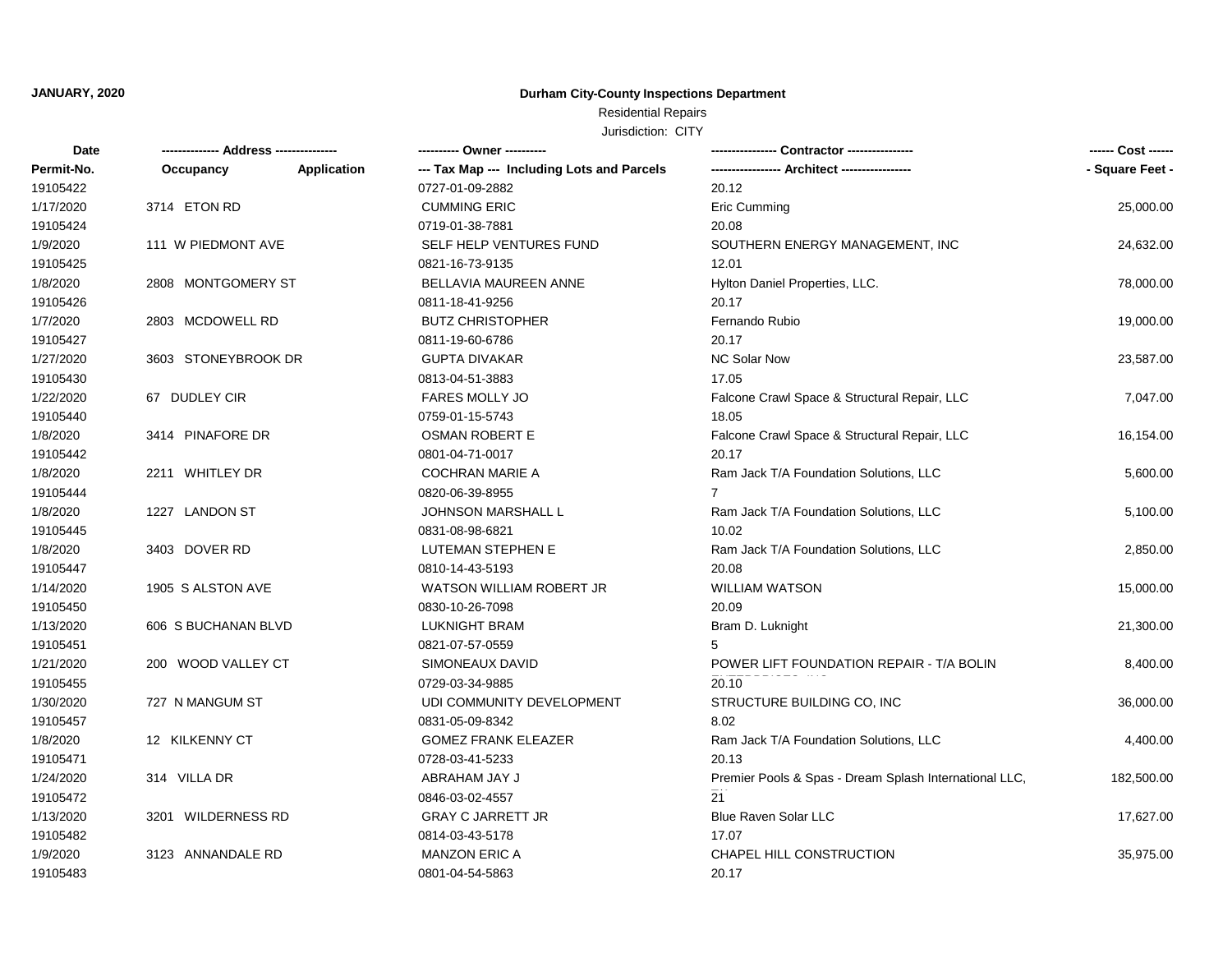# Residential Repairs

| Date       | ------------- Address -------------- |             | ---------- Owner ----------                | - Contractor ----------------                          |                 |
|------------|--------------------------------------|-------------|--------------------------------------------|--------------------------------------------------------|-----------------|
| Permit-No. | Occupancy                            | Application | --- Tax Map --- Including Lots and Parcels |                                                        | - Square Feet - |
| 19105422   |                                      |             | 0727-01-09-2882                            | 20.12                                                  |                 |
| 1/17/2020  | 3714 ETON RD                         |             | <b>CUMMING ERIC</b>                        | Eric Cumming                                           | 25,000.00       |
| 19105424   |                                      |             | 0719-01-38-7881                            | 20.08                                                  |                 |
| 1/9/2020   | 111 W PIEDMONT AVE                   |             | SELF HELP VENTURES FUND                    | SOUTHERN ENERGY MANAGEMENT, INC                        | 24,632.00       |
| 19105425   |                                      |             | 0821-16-73-9135                            | 12.01                                                  |                 |
| 1/8/2020   | 2808 MONTGOMERY ST                   |             | BELLAVIA MAUREEN ANNE                      | Hylton Daniel Properties, LLC.                         | 78,000.00       |
| 19105426   |                                      |             | 0811-18-41-9256                            | 20.17                                                  |                 |
| 1/7/2020   | 2803 MCDOWELL RD                     |             | <b>BUTZ CHRISTOPHER</b>                    | Fernando Rubio                                         | 19,000.00       |
| 19105427   |                                      |             | 0811-19-60-6786                            | 20.17                                                  |                 |
| 1/27/2020  | 3603 STONEYBROOK DR                  |             | <b>GUPTA DIVAKAR</b>                       | <b>NC Solar Now</b>                                    | 23,587.00       |
| 19105430   |                                      |             | 0813-04-51-3883                            | 17.05                                                  |                 |
| 1/22/2020  | 67 DUDLEY CIR                        |             | <b>FARES MOLLY JO</b>                      | Falcone Crawl Space & Structural Repair, LLC           | 7,047.00        |
| 19105440   |                                      |             | 0759-01-15-5743                            | 18.05                                                  |                 |
| 1/8/2020   | 3414 PINAFORE DR                     |             | <b>OSMAN ROBERT E</b>                      | Falcone Crawl Space & Structural Repair, LLC           | 16,154.00       |
| 19105442   |                                      |             | 0801-04-71-0017                            | 20.17                                                  |                 |
| 1/8/2020   | 2211 WHITLEY DR                      |             | <b>COCHRAN MARIE A</b>                     | Ram Jack T/A Foundation Solutions, LLC                 | 5,600.00        |
| 19105444   |                                      |             | 0820-06-39-8955                            |                                                        |                 |
| 1/8/2020   | 1227 LANDON ST                       |             | <b>JOHNSON MARSHALL L</b>                  | Ram Jack T/A Foundation Solutions, LLC                 | 5,100.00        |
| 19105445   |                                      |             | 0831-08-98-6821                            | 10.02                                                  |                 |
| 1/8/2020   | 3403 DOVER RD                        |             | LUTEMAN STEPHEN E                          | Ram Jack T/A Foundation Solutions, LLC                 | 2,850.00        |
| 19105447   |                                      |             | 0810-14-43-5193                            | 20.08                                                  |                 |
| 1/14/2020  | 1905 S ALSTON AVE                    |             | <b>WATSON WILLIAM ROBERT JR</b>            | <b>WILLIAM WATSON</b>                                  | 15,000.00       |
| 19105450   |                                      |             | 0830-10-26-7098                            | 20.09                                                  |                 |
| 1/13/2020  | 606 S BUCHANAN BLVD                  |             | <b>LUKNIGHT BRAM</b>                       | Bram D. Luknight                                       | 21,300.00       |
| 19105451   |                                      |             | 0821-07-57-0559                            |                                                        |                 |
| 1/21/2020  | 200 WOOD VALLEY CT                   |             | SIMONEAUX DAVID                            | POWER LIFT FOUNDATION REPAIR - T/A BOLIN               | 8,400.00        |
| 19105455   |                                      |             | 0729-03-34-9885                            | 20.10                                                  |                 |
| 1/30/2020  | 727 N MANGUM ST                      |             | UDI COMMUNITY DEVELOPMENT                  | STRUCTURE BUILDING CO, INC                             | 36,000.00       |
| 19105457   |                                      |             | 0831-05-09-8342                            | 8.02                                                   |                 |
| 1/8/2020   | 12 KILKENNY CT                       |             | <b>GOMEZ FRANK ELEAZER</b>                 | Ram Jack T/A Foundation Solutions, LLC                 | 4,400.00        |
| 19105471   |                                      |             | 0728-03-41-5233                            | 20.13                                                  |                 |
| 1/24/2020  | 314 VILLA DR                         |             | ABRAHAM JAY J                              | Premier Pools & Spas - Dream Splash International LLC, | 182,500.00      |
| 19105472   |                                      |             | 0846-03-02-4557                            | 21                                                     |                 |
| 1/13/2020  | 3201 WILDERNESS RD                   |             | <b>GRAY C JARRETT JR</b>                   | <b>Blue Raven Solar LLC</b>                            | 17,627.00       |
| 19105482   |                                      |             | 0814-03-43-5178                            | 17.07                                                  |                 |
| 1/9/2020   | 3123 ANNANDALE RD                    |             | <b>MANZON ERIC A</b>                       | CHAPEL HILL CONSTRUCTION                               | 35,975.00       |
| 19105483   |                                      |             | 0801-04-54-5863                            | 20.17                                                  |                 |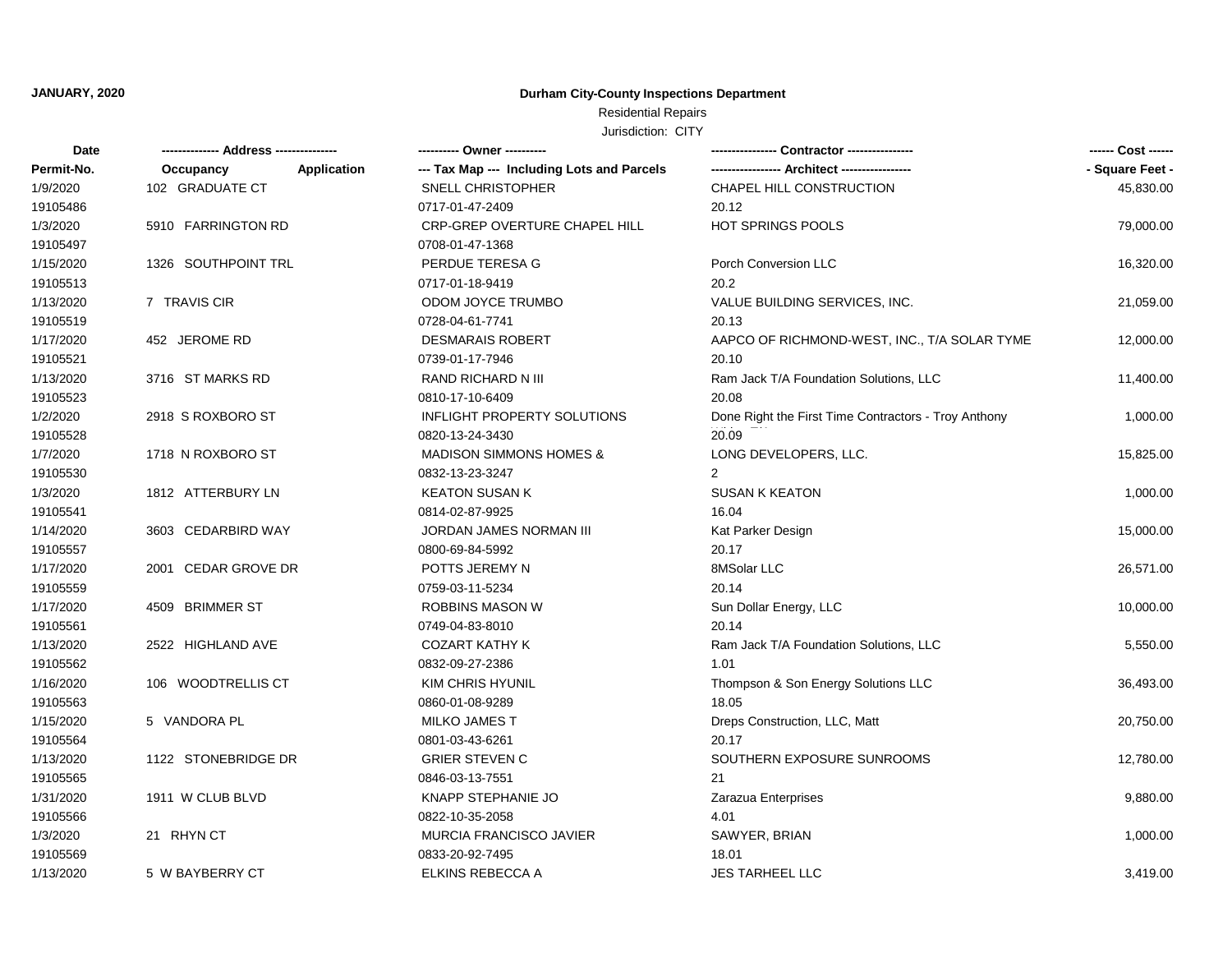# Residential Repairs

| Date       |                     |             | ---------- Owner ----------                |                                                      |                 |
|------------|---------------------|-------------|--------------------------------------------|------------------------------------------------------|-----------------|
| Permit-No. | Occupancy           | Application | --- Tax Map --- Including Lots and Parcels |                                                      | - Square Feet - |
| 1/9/2020   | 102 GRADUATE CT     |             | <b>SNELL CHRISTOPHER</b>                   | CHAPEL HILL CONSTRUCTION                             | 45,830.00       |
| 19105486   |                     |             | 0717-01-47-2409                            | 20.12                                                |                 |
| 1/3/2020   | 5910 FARRINGTON RD  |             | CRP-GREP OVERTURE CHAPEL HILL              | <b>HOT SPRINGS POOLS</b>                             | 79,000.00       |
| 19105497   |                     |             | 0708-01-47-1368                            |                                                      |                 |
| 1/15/2020  | 1326 SOUTHPOINT TRL |             | PERDUE TERESA G                            | Porch Conversion LLC                                 | 16,320.00       |
| 19105513   |                     |             | 0717-01-18-9419                            | 20.2                                                 |                 |
| 1/13/2020  | 7 TRAVIS CIR        |             | ODOM JOYCE TRUMBO                          | VALUE BUILDING SERVICES, INC.                        | 21,059.00       |
| 19105519   |                     |             | 0728-04-61-7741                            | 20.13                                                |                 |
| 1/17/2020  | 452 JEROME RD       |             | <b>DESMARAIS ROBERT</b>                    | AAPCO OF RICHMOND-WEST, INC., T/A SOLAR TYME         | 12,000.00       |
| 19105521   |                     |             | 0739-01-17-7946                            | 20.10                                                |                 |
| 1/13/2020  | 3716 ST MARKS RD    |             | RAND RICHARD N III                         | Ram Jack T/A Foundation Solutions, LLC               | 11,400.00       |
| 19105523   |                     |             | 0810-17-10-6409                            | 20.08                                                |                 |
| 1/2/2020   | 2918 S ROXBORO ST   |             | <b>INFLIGHT PROPERTY SOLUTIONS</b>         | Done Right the First Time Contractors - Troy Anthony | 1,000.00        |
| 19105528   |                     |             | 0820-13-24-3430                            | 20.09                                                |                 |
| 1/7/2020   | 1718 N ROXBORO ST   |             | <b>MADISON SIMMONS HOMES &amp;</b>         | LONG DEVELOPERS, LLC.                                | 15,825.00       |
| 19105530   |                     |             | 0832-13-23-3247                            |                                                      |                 |
| 1/3/2020   | 1812 ATTERBURY LN   |             | <b>KEATON SUSAN K</b>                      | <b>SUSAN K KEATON</b>                                | 1,000.00        |
| 19105541   |                     |             | 0814-02-87-9925                            | 16.04                                                |                 |
| 1/14/2020  | 3603 CEDARBIRD WAY  |             | JORDAN JAMES NORMAN III                    | Kat Parker Design                                    | 15,000.00       |
| 19105557   |                     |             | 0800-69-84-5992                            | 20.17                                                |                 |
| 1/17/2020  | 2001 CEDAR GROVE DR |             | POTTS JEREMY N                             | 8MSolar LLC                                          | 26,571.00       |
| 19105559   |                     |             | 0759-03-11-5234                            | 20.14                                                |                 |
| 1/17/2020  | 4509 BRIMMER ST     |             | ROBBINS MASON W                            | Sun Dollar Energy, LLC                               | 10,000.00       |
| 19105561   |                     |             | 0749-04-83-8010                            | 20.14                                                |                 |
| 1/13/2020  | 2522 HIGHLAND AVE   |             | <b>COZART KATHY K</b>                      | Ram Jack T/A Foundation Solutions, LLC               | 5,550.00        |
| 19105562   |                     |             | 0832-09-27-2386                            | 1.01                                                 |                 |
| 1/16/2020  | 106 WOODTRELLIS CT  |             | KIM CHRIS HYUNIL                           | Thompson & Son Energy Solutions LLC                  | 36,493.00       |
| 19105563   |                     |             | 0860-01-08-9289                            | 18.05                                                |                 |
| 1/15/2020  | 5 VANDORA PL        |             | <b>MILKO JAMES T</b>                       | Dreps Construction, LLC, Matt                        | 20,750.00       |
| 19105564   |                     |             | 0801-03-43-6261                            | 20.17                                                |                 |
| 1/13/2020  | 1122 STONEBRIDGE DR |             | <b>GRIER STEVEN C</b>                      | SOUTHERN EXPOSURE SUNROOMS                           | 12,780.00       |
| 19105565   |                     |             | 0846-03-13-7551                            | 21                                                   |                 |
| 1/31/2020  | 1911 W CLUB BLVD    |             | KNAPP STEPHANIE JO                         | Zarazua Enterprises                                  | 9,880.00        |
| 19105566   |                     |             | 0822-10-35-2058                            | 4.01                                                 |                 |
| 1/3/2020   | 21 RHYN CT          |             | <b>MURCIA FRANCISCO JAVIER</b>             | SAWYER, BRIAN                                        | 1,000.00        |
| 19105569   |                     |             | 0833-20-92-7495                            | 18.01                                                |                 |
| 1/13/2020  | 5 W BAYBERRY CT     |             | ELKINS REBECCA A                           | <b>JES TARHEEL LLC</b>                               | 3,419.00        |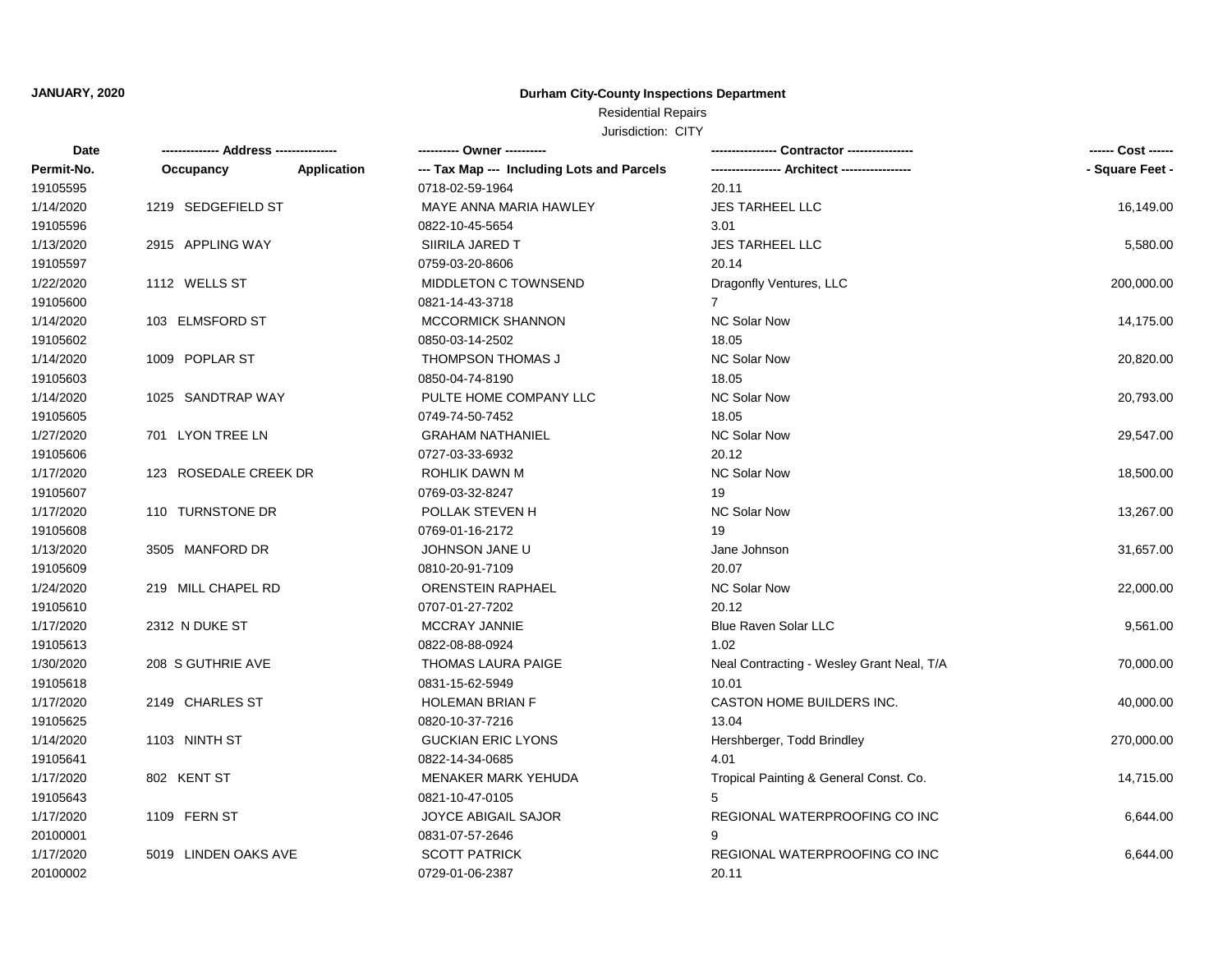# Residential Repairs

| Date       |                       |             | ---------- Owner ----------                | - Contractor ---------------              |                 |
|------------|-----------------------|-------------|--------------------------------------------|-------------------------------------------|-----------------|
| Permit-No. | Occupancy             | Application | --- Tax Map --- Including Lots and Parcels |                                           | - Square Feet - |
| 19105595   |                       |             | 0718-02-59-1964                            | 20.11                                     |                 |
| 1/14/2020  | 1219 SEDGEFIELD ST    |             | MAYE ANNA MARIA HAWLEY                     | <b>JES TARHEEL LLC</b>                    | 16,149.00       |
| 19105596   |                       |             | 0822-10-45-5654                            | 3.01                                      |                 |
| 1/13/2020  | 2915 APPLING WAY      |             | SIIRILA JARED T                            | <b>JES TARHEEL LLC</b>                    | 5,580.00        |
| 19105597   |                       |             | 0759-03-20-8606                            | 20.14                                     |                 |
| 1/22/2020  | 1112 WELLS ST         |             | MIDDLETON C TOWNSEND                       | Dragonfly Ventures, LLC                   | 200,000.00      |
| 19105600   |                       |             | 0821-14-43-3718                            | 7                                         |                 |
| 1/14/2020  | 103 ELMSFORD ST       |             | <b>MCCORMICK SHANNON</b>                   | <b>NC Solar Now</b>                       | 14,175.00       |
| 19105602   |                       |             | 0850-03-14-2502                            | 18.05                                     |                 |
| 1/14/2020  | 1009 POPLAR ST        |             | THOMPSON THOMAS J                          | <b>NC Solar Now</b>                       | 20,820.00       |
| 19105603   |                       |             | 0850-04-74-8190                            | 18.05                                     |                 |
| 1/14/2020  | 1025 SANDTRAP WAY     |             | PULTE HOME COMPANY LLC                     | <b>NC Solar Now</b>                       | 20,793.00       |
| 19105605   |                       |             | 0749-74-50-7452                            | 18.05                                     |                 |
| 1/27/2020  | 701 LYON TREE LN      |             | <b>GRAHAM NATHANIEL</b>                    | <b>NC Solar Now</b>                       | 29,547.00       |
| 19105606   |                       |             | 0727-03-33-6932                            | 20.12                                     |                 |
| 1/17/2020  | 123 ROSEDALE CREEK DR |             | ROHLIK DAWN M                              | <b>NC Solar Now</b>                       | 18,500.00       |
| 19105607   |                       |             | 0769-03-32-8247                            | 19                                        |                 |
| 1/17/2020  | 110 TURNSTONE DR      |             | POLLAK STEVEN H                            | <b>NC Solar Now</b>                       | 13,267.00       |
| 19105608   |                       |             | 0769-01-16-2172                            | 19                                        |                 |
| 1/13/2020  | 3505 MANFORD DR       |             | JOHNSON JANE U                             | Jane Johnson                              | 31,657.00       |
| 19105609   |                       |             | 0810-20-91-7109                            | 20.07                                     |                 |
| 1/24/2020  | 219 MILL CHAPEL RD    |             | <b>ORENSTEIN RAPHAEL</b>                   | <b>NC Solar Now</b>                       | 22,000.00       |
| 19105610   |                       |             | 0707-01-27-7202                            | 20.12                                     |                 |
| 1/17/2020  | 2312 N DUKE ST        |             | MCCRAY JANNIE                              | Blue Raven Solar LLC                      | 9,561.00        |
| 19105613   |                       |             | 0822-08-88-0924                            | 1.02                                      |                 |
| 1/30/2020  | 208 S GUTHRIE AVE     |             | <b>THOMAS LAURA PAIGE</b>                  | Neal Contracting - Wesley Grant Neal, T/A | 70,000.00       |
| 19105618   |                       |             | 0831-15-62-5949                            | 10.01                                     |                 |
| 1/17/2020  | 2149 CHARLES ST       |             | <b>HOLEMAN BRIAN F</b>                     | CASTON HOME BUILDERS INC.                 | 40,000.00       |
| 19105625   |                       |             | 0820-10-37-7216                            | 13.04                                     |                 |
| 1/14/2020  | 1103 NINTH ST         |             | <b>GUCKIAN ERIC LYONS</b>                  | Hershberger, Todd Brindley                | 270,000.00      |
| 19105641   |                       |             | 0822-14-34-0685                            | 4.01                                      |                 |
| 1/17/2020  | 802 KENT ST           |             | MENAKER MARK YEHUDA                        | Tropical Painting & General Const. Co.    | 14,715.00       |
| 19105643   |                       |             | 0821-10-47-0105                            | 5                                         |                 |
| 1/17/2020  | 1109 FERN ST          |             | <b>JOYCE ABIGAIL SAJOR</b>                 | REGIONAL WATERPROOFING CO INC             | 6,644.00        |
| 20100001   |                       |             | 0831-07-57-2646                            | 9                                         |                 |
| 1/17/2020  | 5019 LINDEN OAKS AVE  |             | <b>SCOTT PATRICK</b>                       | REGIONAL WATERPROOFING CO INC             | 6,644.00        |
| 20100002   |                       |             | 0729-01-06-2387                            | 20.11                                     |                 |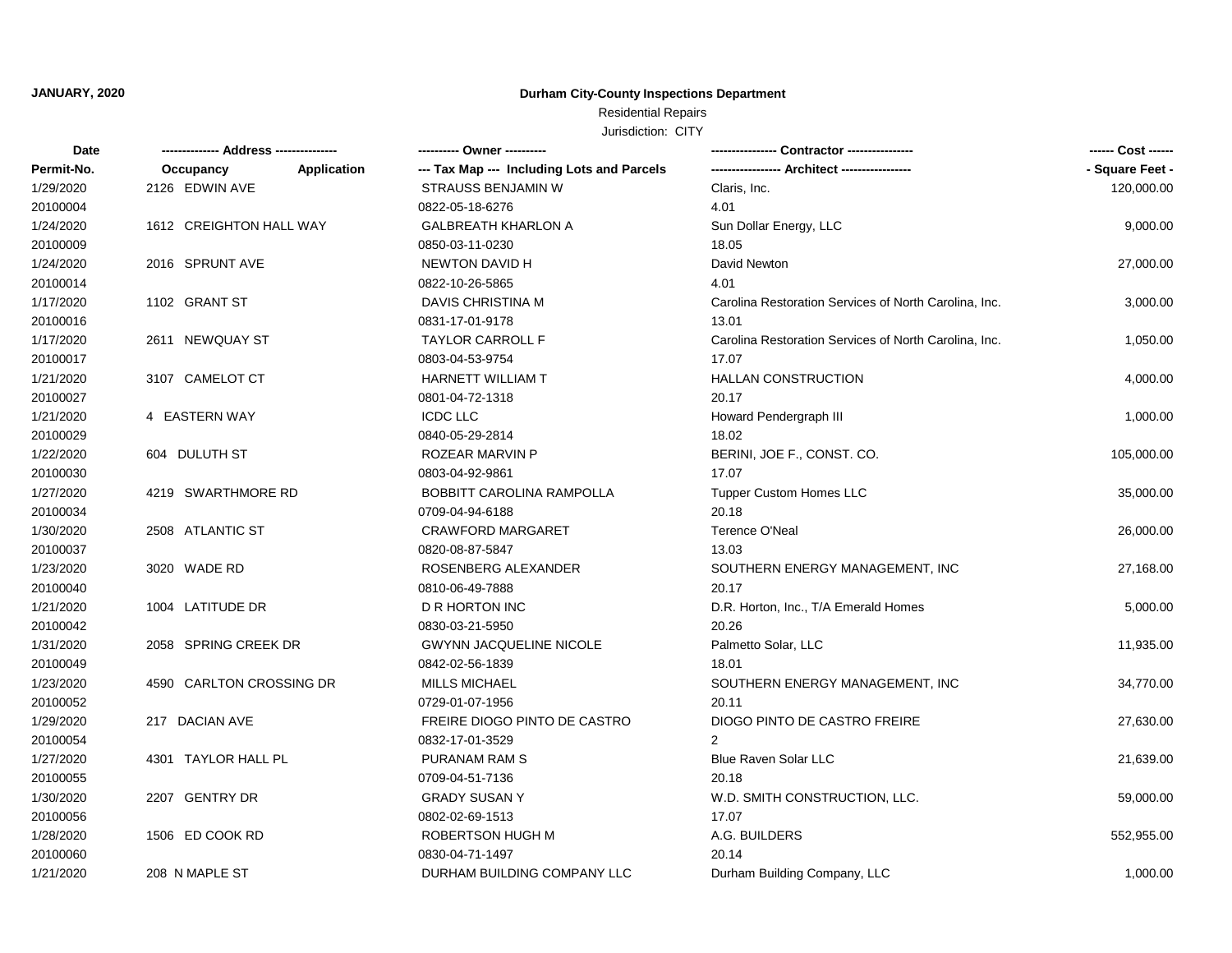## Residential Repairs

| Date       |                          |             | ---------- Owner ----------                |                                                       |                 |
|------------|--------------------------|-------------|--------------------------------------------|-------------------------------------------------------|-----------------|
| Permit-No. | Occupancy                | Application | --- Tax Map --- Including Lots and Parcels |                                                       | - Square Feet - |
| 1/29/2020  | 2126 EDWIN AVE           |             | <b>STRAUSS BENJAMIN W</b>                  | Claris, Inc.                                          | 120,000.00      |
| 20100004   |                          |             | 0822-05-18-6276                            | 4.01                                                  |                 |
| 1/24/2020  | 1612 CREIGHTON HALL WAY  |             | <b>GALBREATH KHARLON A</b>                 | Sun Dollar Energy, LLC                                | 9,000.00        |
| 20100009   |                          |             | 0850-03-11-0230                            | 18.05                                                 |                 |
| 1/24/2020  | 2016 SPRUNT AVE          |             | NEWTON DAVID H                             | David Newton                                          | 27,000.00       |
| 20100014   |                          |             | 0822-10-26-5865                            | 4.01                                                  |                 |
| 1/17/2020  | 1102 GRANT ST            |             | DAVIS CHRISTINA M                          | Carolina Restoration Services of North Carolina, Inc. | 3,000.00        |
| 20100016   |                          |             | 0831-17-01-9178                            | 13.01                                                 |                 |
| 1/17/2020  | 2611 NEWQUAY ST          |             | <b>TAYLOR CARROLL F</b>                    | Carolina Restoration Services of North Carolina, Inc. | 1,050.00        |
| 20100017   |                          |             | 0803-04-53-9754                            | 17.07                                                 |                 |
| 1/21/2020  | 3107 CAMELOT CT          |             | <b>HARNETT WILLIAM T</b>                   | <b>HALLAN CONSTRUCTION</b>                            | 4,000.00        |
| 20100027   |                          |             | 0801-04-72-1318                            | 20.17                                                 |                 |
| 1/21/2020  | 4 EASTERN WAY            |             | <b>ICDC LLC</b>                            | Howard Pendergraph III                                | 1,000.00        |
| 20100029   |                          |             | 0840-05-29-2814                            | 18.02                                                 |                 |
| 1/22/2020  | 604 DULUTH ST            |             | ROZEAR MARVIN P                            | BERINI, JOE F., CONST. CO.                            | 105,000.00      |
| 20100030   |                          |             | 0803-04-92-9861                            | 17.07                                                 |                 |
| 1/27/2020  | 4219 SWARTHMORE RD       |             | BOBBITT CAROLINA RAMPOLLA                  | <b>Tupper Custom Homes LLC</b>                        | 35,000.00       |
| 20100034   |                          |             | 0709-04-94-6188                            | 20.18                                                 |                 |
| 1/30/2020  | 2508 ATLANTIC ST         |             | <b>CRAWFORD MARGARET</b>                   | <b>Terence O'Neal</b>                                 | 26,000.00       |
| 20100037   |                          |             | 0820-08-87-5847                            | 13.03                                                 |                 |
| 1/23/2020  | 3020 WADE RD             |             | ROSENBERG ALEXANDER                        | SOUTHERN ENERGY MANAGEMENT, INC                       | 27,168.00       |
| 20100040   |                          |             | 0810-06-49-7888                            | 20.17                                                 |                 |
| 1/21/2020  | 1004 LATITUDE DR         |             | D R HORTON INC                             | D.R. Horton, Inc., T/A Emerald Homes                  | 5,000.00        |
| 20100042   |                          |             | 0830-03-21-5950                            | 20.26                                                 |                 |
| 1/31/2020  | 2058 SPRING CREEK DR     |             | <b>GWYNN JACQUELINE NICOLE</b>             | Palmetto Solar, LLC                                   | 11,935.00       |
| 20100049   |                          |             | 0842-02-56-1839                            | 18.01                                                 |                 |
| 1/23/2020  | 4590 CARLTON CROSSING DR |             | <b>MILLS MICHAEL</b>                       | SOUTHERN ENERGY MANAGEMENT, INC                       | 34,770.00       |
| 20100052   |                          |             | 0729-01-07-1956                            | 20.11                                                 |                 |
| 1/29/2020  | 217 DACIAN AVE           |             | FREIRE DIOGO PINTO DE CASTRO               | DIOGO PINTO DE CASTRO FREIRE                          | 27,630.00       |
| 20100054   |                          |             | 0832-17-01-3529                            | 2                                                     |                 |
| 1/27/2020  | 4301 TAYLOR HALL PL      |             | PURANAM RAM S                              | <b>Blue Raven Solar LLC</b>                           | 21,639.00       |
| 20100055   |                          |             | 0709-04-51-7136                            | 20.18                                                 |                 |
| 1/30/2020  | 2207 GENTRY DR           |             | <b>GRADY SUSAN Y</b>                       | W.D. SMITH CONSTRUCTION, LLC.                         | 59,000.00       |
| 20100056   |                          |             | 0802-02-69-1513                            | 17.07                                                 |                 |
| 1/28/2020  | 1506 ED COOK RD          |             | ROBERTSON HUGH M                           | A.G. BUILDERS                                         | 552,955.00      |
| 20100060   |                          |             | 0830-04-71-1497                            | 20.14                                                 |                 |
| 1/21/2020  | 208 N MAPLE ST           |             | DURHAM BUILDING COMPANY LLC                | Durham Building Company, LLC                          | 1,000.00        |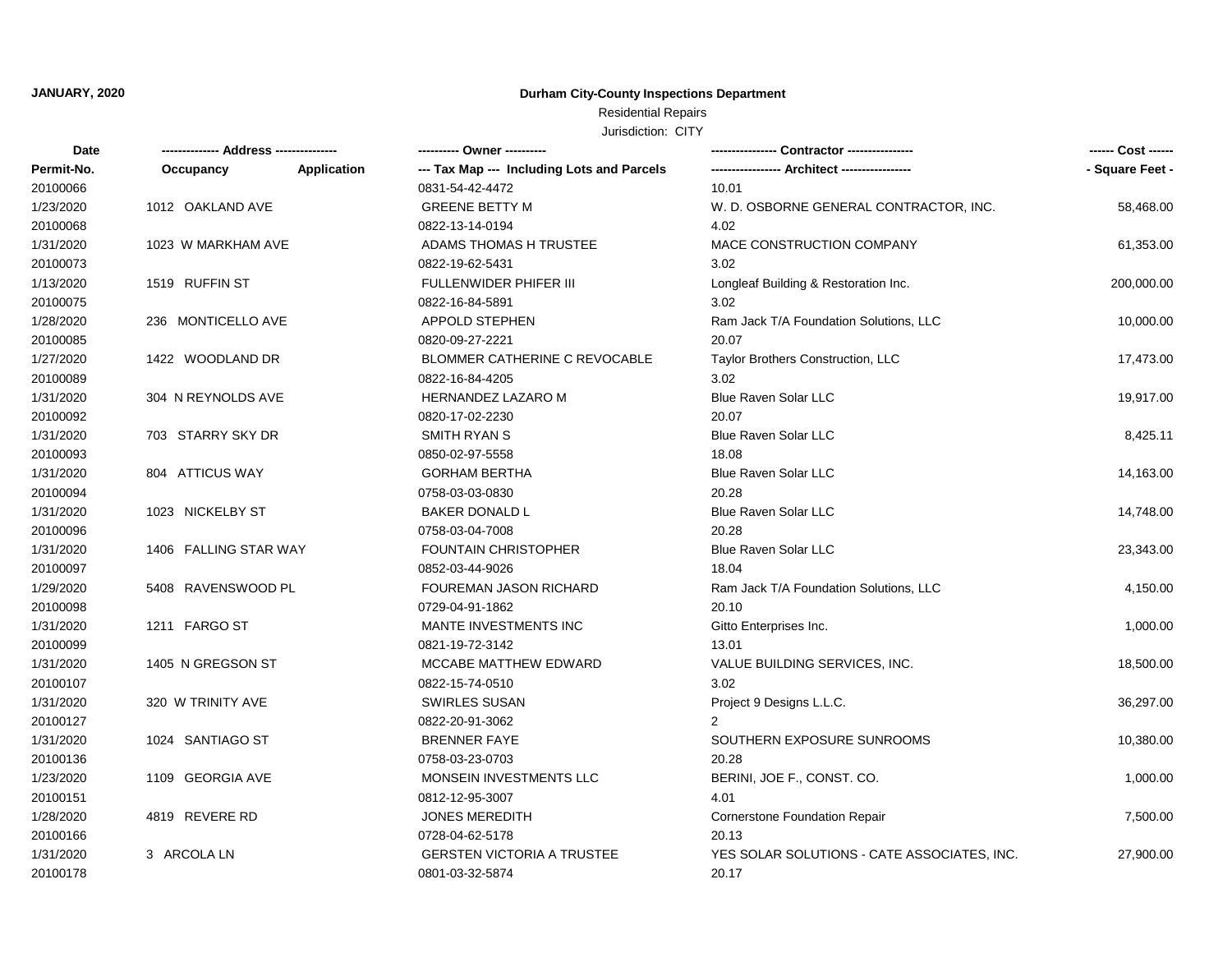# Residential Repairs

| Date       |                       |             |                                            | - Contractor ----------------               | ------ Cost ------ |
|------------|-----------------------|-------------|--------------------------------------------|---------------------------------------------|--------------------|
| Permit-No. | Occupancy             | Application | --- Tax Map --- Including Lots and Parcels |                                             | - Square Feet -    |
| 20100066   |                       |             | 0831-54-42-4472                            | 10.01                                       |                    |
| 1/23/2020  | 1012 OAKLAND AVE      |             | <b>GREENE BETTY M</b>                      | W. D. OSBORNE GENERAL CONTRACTOR, INC.      | 58,468.00          |
| 20100068   |                       |             | 0822-13-14-0194                            | 4.02                                        |                    |
| 1/31/2020  | 1023 W MARKHAM AVE    |             | ADAMS THOMAS H TRUSTEE                     | MACE CONSTRUCTION COMPANY                   | 61,353.00          |
| 20100073   |                       |             | 0822-19-62-5431                            | 3.02                                        |                    |
| 1/13/2020  | 1519 RUFFIN ST        |             | FULLENWIDER PHIFER III                     | Longleaf Building & Restoration Inc.        | 200,000.00         |
| 20100075   |                       |             | 0822-16-84-5891                            | 3.02                                        |                    |
| 1/28/2020  | 236 MONTICELLO AVE    |             | APPOLD STEPHEN                             | Ram Jack T/A Foundation Solutions, LLC      | 10,000.00          |
| 20100085   |                       |             | 0820-09-27-2221                            | 20.07                                       |                    |
| 1/27/2020  | 1422 WOODLAND DR      |             | BLOMMER CATHERINE C REVOCABLE              | Taylor Brothers Construction, LLC           | 17,473.00          |
| 20100089   |                       |             | 0822-16-84-4205                            | 3.02                                        |                    |
| 1/31/2020  | 304 N REYNOLDS AVE    |             | HERNANDEZ LAZARO M                         | <b>Blue Raven Solar LLC</b>                 | 19,917.00          |
| 20100092   |                       |             | 0820-17-02-2230                            | 20.07                                       |                    |
| 1/31/2020  | 703 STARRY SKY DR     |             | SMITH RYAN S                               | <b>Blue Raven Solar LLC</b>                 | 8,425.11           |
| 20100093   |                       |             | 0850-02-97-5558                            | 18.08                                       |                    |
| 1/31/2020  | 804 ATTICUS WAY       |             | <b>GORHAM BERTHA</b>                       | <b>Blue Raven Solar LLC</b>                 | 14,163.00          |
| 20100094   |                       |             | 0758-03-03-0830                            | 20.28                                       |                    |
| 1/31/2020  | 1023 NICKELBY ST      |             | <b>BAKER DONALD L</b>                      | <b>Blue Raven Solar LLC</b>                 | 14,748.00          |
| 20100096   |                       |             | 0758-03-04-7008                            | 20.28                                       |                    |
| 1/31/2020  | 1406 FALLING STAR WAY |             | <b>FOUNTAIN CHRISTOPHER</b>                | <b>Blue Raven Solar LLC</b>                 | 23,343.00          |
| 20100097   |                       |             | 0852-03-44-9026                            | 18.04                                       |                    |
| 1/29/2020  | 5408 RAVENSWOOD PL    |             | FOUREMAN JASON RICHARD                     | Ram Jack T/A Foundation Solutions, LLC      | 4,150.00           |
| 20100098   |                       |             | 0729-04-91-1862                            | 20.10                                       |                    |
| 1/31/2020  | 1211 FARGO ST         |             | MANTE INVESTMENTS INC                      | Gitto Enterprises Inc.                      | 1,000.00           |
| 20100099   |                       |             | 0821-19-72-3142                            | 13.01                                       |                    |
| 1/31/2020  | 1405 N GREGSON ST     |             | MCCABE MATTHEW EDWARD                      | VALUE BUILDING SERVICES, INC.               | 18,500.00          |
| 20100107   |                       |             | 0822-15-74-0510                            | 3.02                                        |                    |
| 1/31/2020  | 320 W TRINITY AVE     |             | <b>SWIRLES SUSAN</b>                       | Project 9 Designs L.L.C.                    | 36,297.00          |
| 20100127   |                       |             | 0822-20-91-3062                            | 2                                           |                    |
| 1/31/2020  | 1024 SANTIAGO ST      |             | <b>BRENNER FAYE</b>                        | SOUTHERN EXPOSURE SUNROOMS                  | 10,380.00          |
| 20100136   |                       |             | 0758-03-23-0703                            | 20.28                                       |                    |
| 1/23/2020  | 1109 GEORGIA AVE      |             | MONSEIN INVESTMENTS LLC                    | BERINI, JOE F., CONST. CO.                  | 1,000.00           |
| 20100151   |                       |             | 0812-12-95-3007                            | 4.01                                        |                    |
| 1/28/2020  | 4819 REVERE RD        |             | <b>JONES MEREDITH</b>                      | Cornerstone Foundation Repair               | 7,500.00           |
| 20100166   |                       |             | 0728-04-62-5178                            | 20.13                                       |                    |
| 1/31/2020  | 3 ARCOLA LN           |             | <b>GERSTEN VICTORIA A TRUSTEE</b>          | YES SOLAR SOLUTIONS - CATE ASSOCIATES, INC. | 27,900.00          |
| 20100178   |                       |             | 0801-03-32-5874                            | 20.17                                       |                    |